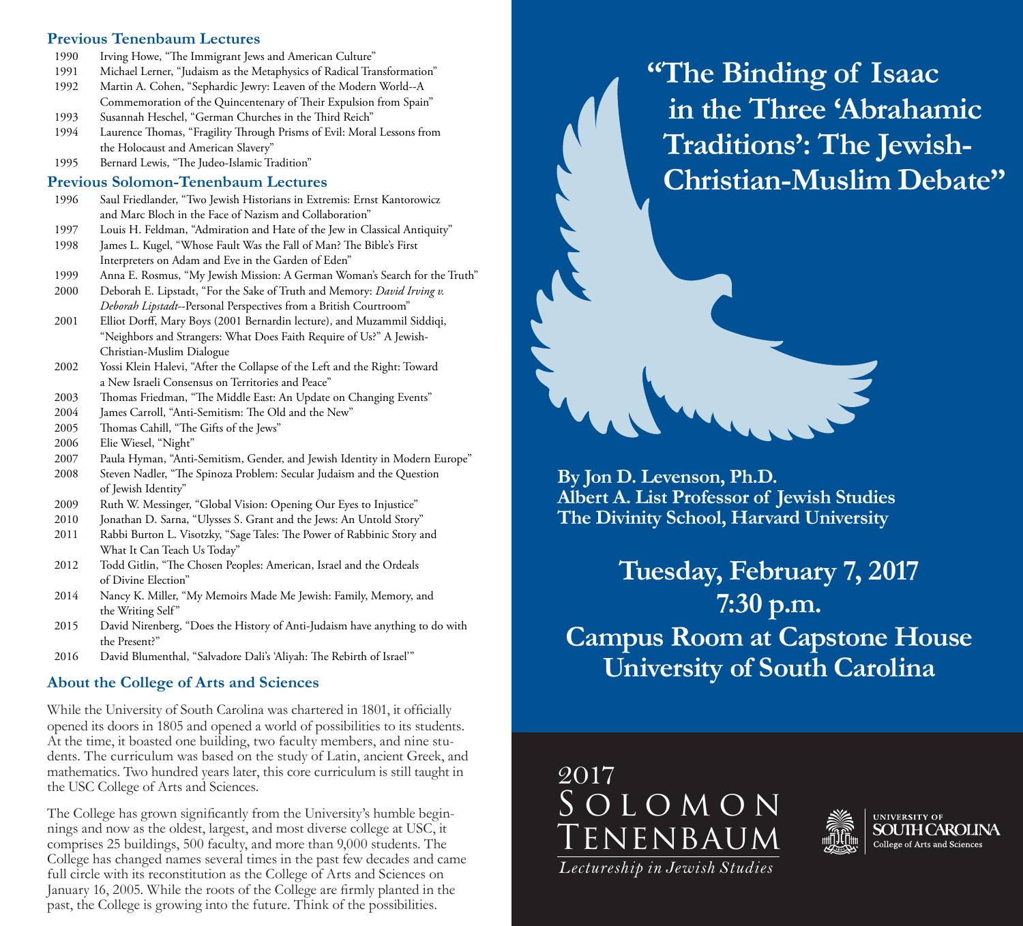#### **Previous Tenenbaum Lectures**

- 1990 Irving Howe, "The Immigrant Jews and American Culture"
- 1991 Michael Lerner, "Judaism as the Metaphysics of Radical Transformation"
- 1992 Martin A. Cohen, "Sephardic Jewry: Leaven of the Modern World--A Commemoration of the Quincentenary of Their Expulsion from Spain"
- 1993 Susannah Heschel, "German Churches in the Third Reich"
- 1994 Laurence Thomas, "Fragility Through Prisms of Evil: Moral Lessons from the Holocaust and American Slavery"
- 1995 Bernard Lewis, "The Judeo-Islamic Tradition"

#### **Previous Solomon-Tenenbaum Lectures**

- 1996 Saul Friedlander, "Two Jewish Historians in Extremis: Ernst Kantorowicz and Marc Bloch in the Face of Nazism and Collaboration"
- 1997 Louis H. Feldman, "Admiration and Hate of the Jew in Classical Antiquity"
- 1998 James L. Kugel, "Whose Fault Was the Fall of Man? The Bible's First Interpreters on Adam and Eve in the Garden of Eden"
- 1999 Anna E. Rosmus, "My Jewish Mission: A German Woman's Search for the Truth"
- 2000 Deborah E. Lipstadt, "For the Sake of Truth and Memory: *David Irving v. Deborah Lipstadt*--Personal Perspectives from a British Courtroom"
- 2001 Elliot Dorff, Mary Boys (2001 Bernardin lecture), and Muzammil Siddiqi, "Neighbors and Strangers: What Does Faith Require of Us?" A Jewish- Christian-Muslim Dialogue
- 2002 Yossi Klein Halevi, "After the Collapse of the Left and the Right: Toward a New Israeli Consensus on Territories and Peace"
- 2003 Thomas Friedman, "The Middle East: An Update on Changing Events"
- 2004 James Carroll, "Anti-Semitism: The Old and the New"
- 2005 Thomas Cahill, "The Gifts of the Jews"
- 2006 Elie Wiesel, "Night"
- 2007 Paula Hyman, "Anti-Semitism, Gender, and Jewish Identity in Modern Europe"
- 2008 Steven Nadler, "The Spinoza Problem: Secular Judaism and the Question of Jewish Identity"
- 2009 Ruth W. Messinger, "Global Vision: Opening Our Eyes to Injustice"
- 2010 Jonathan D. Sarna, "Ulysses S. Grant and the Jews: An Untold Story"
- 2011 Rabbi Burton L. Visotzky, "Sage Tales: The Power of Rabbinic Story and What It Can Teach Us Today"
- 2012 Todd Gitlin, "The Chosen Peoples: American, Israel and the Ordeals of Divine Election"
- 2014 Nancy K. Miller, "My Memoirs Made Me Jewish: Family, Memory, and the Writing Self"
- 2015 David Nirenberg, "Does the History of Anti-Judaism have anything to do with the Present?"
- 2016 David Blumenthal, "Salvadore Dali's 'Aliyah: The Rebirth of Israel'"

## **About the College of Arts and Sciences**

While the University of South Carolina was chartered in 1801, it officially opened its doors in 1805 and opened a world of possibilities to its students. At the time, it boasted one building, two faculty members, and nine students. The curriculum was based on the study of Latin, ancient Greek, and mathematics. Two hundred years later, this core curriculum is still taught in the USC College of Arts and Sciences.

The College has grown significantly from the University's humble beginnings and now as the oldest, largest, and most diverse college at USC, it comprises 25 buildings, 500 faculty, and more than 9,000 students. The College has changed names several times in the past few decades and came full circle with its reconstitution as the College of Arts and Sciences on January 16, 2005. While the roots of the College are firmly planted in the past, the College is growing into the future. Think of the possibilities.

**"The Binding of Isaac in the Three 'Abrahamic Traditions': The Jewish-Christian-Muslim Debate"**



**Tuesday, February 7, 2017 7:30 p.m. Campus Room at Capstone House University of South Carolina**





*Lectureship in Jewish Studies*